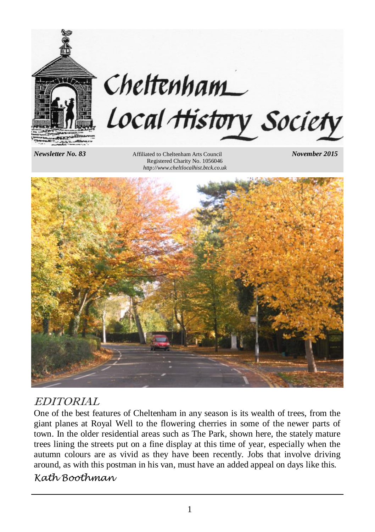

# Cheltenham Local History Society

*Newsletter No. 83* Affiliated to Cheltenham Arts Council *November 2015* Registered Charity No. 1056046 *http://www.cheltlocalhist.btck.co.uk*



### EDITORIAL

One of the best features of Cheltenham in any season is its wealth of trees, from the giant planes at Royal Well to the flowering cherries in some of the newer parts of town. In the older residential areas such as The Park, shown here, the stately mature trees lining the streets put on a fine display at this time of year, especially when the autumn colours are as vivid as they have been recently. Jobs that involve driving around, as with this postman in his van, must have an added appeal on days like this.

### *Kath Boothman*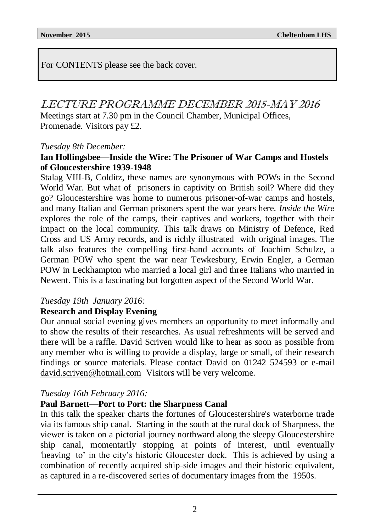For CONTENTS please see the back cover.

### LECTURE PROGRAMME DECEMBER 2015-MAY 2016

Meetings start at 7.30 pm in the Council Chamber, Municipal Offices, Promenade. Visitors pay £2.

### *Tuesday 8th December:*

### **Ian Hollingsbee—Inside the Wire: The Prisoner of War Camps and Hostels of Gloucestershire 1939-1948**

Stalag VIII-B, Colditz, these names are synonymous with POWs in the Second World War. But what of prisoners in captivity on British soil? Where did they go? Gloucestershire was home to numerous prisoner-of-war camps and hostels, and many Italian and German prisoners spent the war years here. *Inside the Wire* explores the role of the camps, their captives and workers, together with their impact on the local community. This talk draws on Ministry of Defence, Red Cross and US Army records, and is richly illustrated with original images. The talk also features the compelling first-hand accounts of Joachim Schulze, a German POW who spent the war near Tewkesbury, Erwin Engler, a German POW in Leckhampton who married a local girl and three Italians who married in Newent. This is a fascinating but forgotten aspect of the Second World War.

### *Tuesday 19th January 2016:*

### **Research and Display Evening**

Our annual social evening gives members an opportunity to meet informally and to show the results of their researches. As usual refreshments will be served and there will be a raffle. David Scriven would like to hear as soon as possible from any member who is willing to provide a display, large or small, of their research findings or source materials. Please contact David on 01242 524593 or e-mail david.scriven@hotmail.com Visitors will be very welcome.

### *Tuesday 16th February 2016:*

### **Paul Barnett—Port to Port: the Sharpness Canal**

In this talk the speaker charts the fortunes of Gloucestershire's waterborne trade via its famous ship canal. Starting in the south at the rural dock of Sharpness, the viewer is taken on a pictorial journey northward along the sleepy Gloucestershire ship canal, momentarily stopping at points of interest, until eventually 'heaving to' in the city's historic Gloucester dock. This is achieved by using a combination of recently acquired ship-side images and their historic equivalent, as captured in a re-discovered series of documentary images from the 1950s.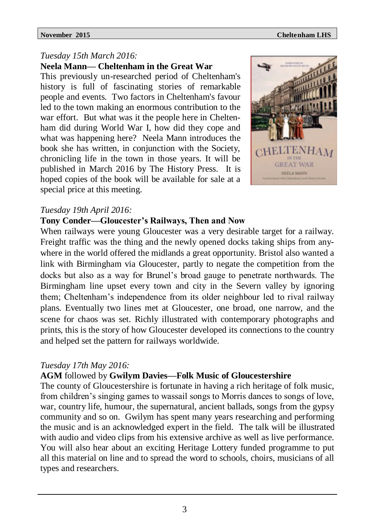### *Tuesday 15th March 2016:*

**Neela Mann— Cheltenham in the Great War**

This previously un-researched period of Cheltenham's history is full of fascinating stories of remarkable people and events. Two factors in Cheltenham's favour led to the town making an enormous contribution to the war effort. But what was it the people here in Cheltenham did during World War I, how did they cope and what was happening here? Neela Mann introduces the book she has written, in conjunction with the Society, chronicling life in the town in those years. It will be published in March 2016 by The History Press. It is hoped copies of the book will be available for sale at a special price at this meeting.



### *Tuesday 19th April 2016:*

### **Tony Conder—Gloucester's Railways, Then and Now**

When railways were young Gloucester was a very desirable target for a railway. Freight traffic was the thing and the newly opened docks taking ships from anywhere in the world offered the midlands a great opportunity. Bristol also wanted a link with Birmingham via Gloucester, partly to negate the competition from the docks but also as a way for Brunel's broad gauge to penetrate northwards. The Birmingham line upset every town and city in the Severn valley by ignoring them; Cheltenham's independence from its older neighbour led to rival railway plans. Eventually two lines met at Gloucester, one broad, one narrow, and the scene for chaos was set. Richly illustrated with contemporary photographs and prints, this is the story of how Gloucester developed its connections to the country and helped set the pattern for railways worldwide.

### *Tuesday 17th May 2016:*

### **AGM** followed by **Gwilym Davies—Folk Music of Gloucestershire**

The county of Gloucestershire is fortunate in having a rich heritage of folk music, from children's singing games to wassail songs to Morris dances to songs of love, war, country life, humour, the supernatural, ancient ballads, songs from the gypsy community and so on. Gwilym has spent many years researching and performing the music and is an acknowledged expert in the field. The talk will be illustrated with audio and video clips from his extensive archive as well as live performance. You will also hear about an exciting Heritage Lottery funded programme to put all this material on line and to spread the word to schools, choirs, musicians of all types and researchers.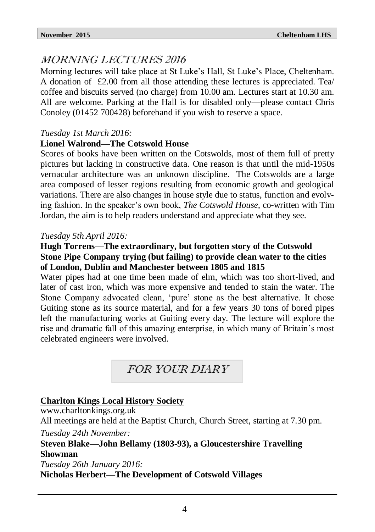## MORNING LECTURES 2016

Morning lectures will take place at St Luke's Hall, St Luke's Place, Cheltenham. A donation of £2.00 from all those attending these lectures is appreciated. Tea/ coffee and biscuits served (no charge) from 10.00 am. Lectures start at 10.30 am. All are welcome. Parking at the Hall is for disabled only—please contact Chris Conoley (01452 700428) beforehand if you wish to reserve a space.

### *Tuesday 1st March 2016:*

### **Lionel Walrond—The Cotswold House**

Scores of books have been written on the Cotswolds, most of them full of pretty pictures but lacking in constructive data. One reason is that until the mid-1950s vernacular architecture was an unknown discipline. The Cotswolds are a large area composed of lesser regions resulting from economic growth and geological variations. There are also changes in house style due to status, function and evolving fashion. In the speaker's own book, *The Cotswold House,* co-written with Tim Jordan, the aim is to help readers understand and appreciate what they see.

### *Tuesday 5th April 2016:*

### **Hugh Torrens—The extraordinary, but forgotten story of the Cotswold Stone Pipe Company trying (but failing) to provide clean water to the cities of London, Dublin and Manchester between 1805 and 1815**

Water pipes had at one time been made of elm, which was too short-lived, and later of cast iron, which was more expensive and tended to stain the water. The Stone Company advocated clean, 'pure' stone as the best alternative. It chose Guiting stone as its source material, and for a few years 30 tons of bored pipes left the manufacturing works at Guiting every day. The lecture will explore the rise and dramatic fall of this amazing enterprise, in which many of Britain's most celebrated engineers were involved.

FOR YOUR DIARY

### **Charlton Kings Local History Society**

www.charltonkings.org.uk

All meetings are held at the Baptist Church, Church Street, starting at 7.30 pm.

*Tuesday 24th November:*

**Steven Blake—John Bellamy (1803-93), a Gloucestershire Travelling Showman**

*Tuesday 26th January 2016:*

### **Nicholas Herbert—The Development of Cotswold Villages**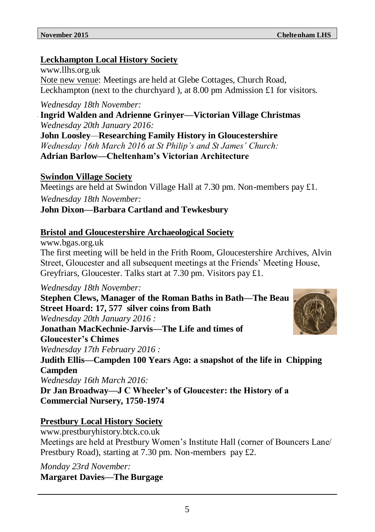### **Leckhampton Local History Society**

www.llhs.org.uk Note new venue: Meetings are held at Glebe Cottages, Church Road, Leckhampton (next to the churchyard ), at 8.00 pm Admission £1 for visitors.

*Wednesday 18th November:*

**Ingrid Walden and Adrienne Grinyer—Victorian Village Christmas** *Wednesday 20th January 2016:*

**John Loosley***—***Researching Family History in Gloucestershire** *Wednesday 16th March 2016 at St Philip's and St James' Church:* **Adrian Barlow—Cheltenham's Victorian Architecture**

### **Swindon Village Society**

Meetings are held at Swindon Village Hall at 7.30 pm. Non-members pay £1.

*Wednesday 18th November:*

### **John Dixon—Barbara Cartland and Tewkesbury**

### **Bristol and Gloucestershire Archaeological Society**

www.bgas.org.uk

The first meeting will be held in the Frith Room, Gloucestershire Archives, Alvin Street, Gloucester and all subsequent meetings at the Friends' Meeting House, Greyfriars, Gloucester. Talks start at 7.30 pm. Visitors pay £1.

*Wednesday 18th November:*

**Stephen Clews, Manager of the Roman Baths in Bath—The Beau Street Hoard: 17, 577 silver coins from Bath** *Wednesday 20th January 2016 :* **Jonathan MacKechnie-Jarvis—The Life and times of Gloucester's Chimes** *Wednesday 17th February 2016 :* **Judith Ellis—Campden 100 Years Ago: a snapshot of the life in Chipping Campden** *Wednesday 16th March 2016:* **Dr Jan Broadway—J C Wheeler's of Gloucester: the History of a Commercial Nursery, 1750-1974**

### **Prestbury Local History Society**

www.prestburyhistory.btck.co.uk Meetings are held at Prestbury Women's Institute Hall (corner of Bouncers Lane/ Prestbury Road), starting at 7.30 pm. Non-members pay £2.

*Monday 23rd November:* **Margaret Davies—The Burgage**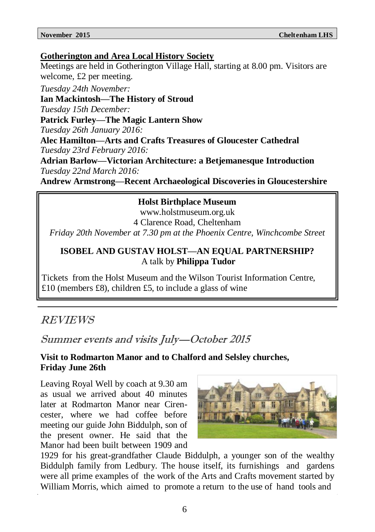### **Gotherington and Area Local History Society**

Meetings are held in Gotherington Village Hall, starting at 8.00 pm. Visitors are welcome, £2 per meeting.

*Tuesday 24th November:*

**Ian Mackintosh—The History of Stroud** *Tuesday 15th December:* **Patrick Furley—The Magic Lantern Show** *Tuesday 26th January 2016:* **Alec Hamilton—Arts and Crafts Treasures of Gloucester Cathedral** *Tuesday 23rd February 2016:*

**Adrian Barlow—Victorian Architecture: a Betjemanesque Introduction** *Tuesday 22nd March 2016:*

**Andrew Armstrong—Recent Archaeological Discoveries in Gloucestershire**

### **Holst Birthplace Museum**

www.holstmuseum.org.uk 4 Clarence Road, Cheltenham *Friday 20th November at 7.30 pm at the Phoenix Centre, Winchcombe Street*

### **ISOBEL AND GUSTAV HOLST—AN EQUAL PARTNERSHIP?** A talk by **Philippa Tudor**

Tickets from the Holst Museum and the Wilson Tourist Information Centre, £10 (members £8), children £5, to include a glass of wine

### REVIEWS

### Summer events and visits July—October 2015

### **Visit to Rodmarton Manor and to Chalford and Selsley churches, Friday June 26th**

Leaving Royal Well by coach at 9.30 am as usual we arrived about 40 minutes later at Rodmarton Manor near Cirencester, where we had coffee before meeting our guide John Biddulph, son of the present owner. He said that the Manor had been built between 1909 and



1929 for his great-grandfather Claude Biddulph, a younger son of the wealthy Biddulph family from Ledbury. The house itself, its furnishings and gardens were all prime examples of the work of the Arts and Crafts movement started by William Morris, which aimed to promote a return to the use of hand tools and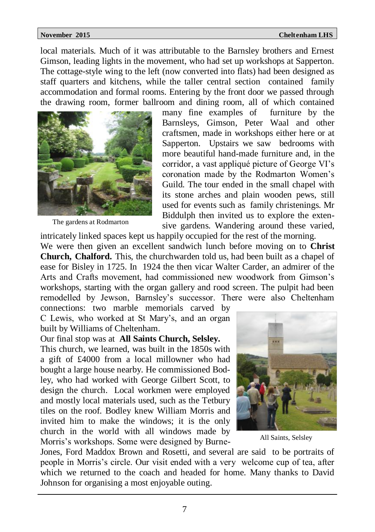local materials. Much of it was attributable to the Barnsley brothers and Ernest Gimson, leading lights in the movement, who had set up workshops at Sapperton. The cottage-style wing to the left (now converted into flats) had been designed as staff quarters and kitchens, while the taller central section contained family accommodation and formal rooms. Entering by the front door we passed through the drawing room, former ballroom and dining room, all of which contained



The gardens at Rodmarton

many fine examples of furniture by the Barnsleys, Gimson, Peter Waal and other craftsmen, made in workshops either here or at Sapperton. Upstairs we saw bedrooms with more beautiful hand-made furniture and, in the corridor, a vast appliqué picture of George VI's coronation made by the Rodmarton Women's Guild. The tour ended in the small chapel with its stone arches and plain wooden pews, still used for events such as family christenings. Mr Biddulph then invited us to explore the extensive gardens. Wandering around these varied,

intricately linked spaces kept us happily occupied for the rest of the morning. We were then given an excellent sandwich lunch before moving on to **Christ Church, Chalford.** This, the churchwarden told us, had been built as a chapel of ease for Bisley in 1725. In 1924 the then vicar Walter Carder, an admirer of the Arts and Crafts movement, had commissioned new woodwork from Gimson's workshops, starting with the organ gallery and rood screen. The pulpit had been remodelled by Jewson, Barnsley's successor. There were also Cheltenham connections: two marble memorials carved by

C Lewis, who worked at St Mary's, and an organ built by Williams of Cheltenham.

Our final stop was at **All Saints Church, Selsley.**

This church, we learned, was built in the 1850s with a gift of £4000 from a local millowner who had bought a large house nearby. He commissioned Bodley, who had worked with George Gilbert Scott, to design the church. Local workmen were employed and mostly local materials used, such as the Tetbury tiles on the roof. Bodley knew William Morris and invited him to make the windows; it is the only church in the world with all windows made by Morris's workshops. Some were designed by Burne-



All Saints, Selsley

Jones, Ford Maddox Brown and Rosetti, and several are said to be portraits of people in Morris's circle. Our visit ended with a very welcome cup of tea, after which we returned to the coach and headed for home. Many thanks to David Johnson for organising a most enjoyable outing.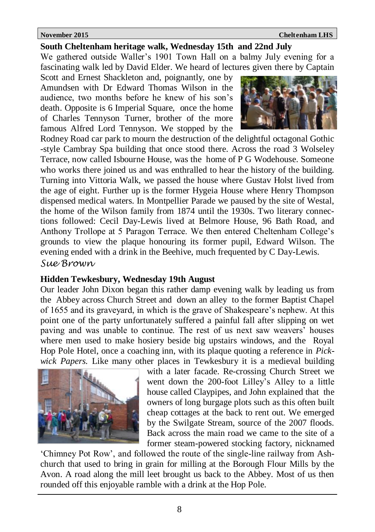### **South Cheltenham heritage walk, Wednesday 15th and 22nd July**

We gathered outside Waller's 1901 Town Hall on a balmy July evening for a fascinating walk led by David Elder. We heard of lectures given there by Captain

Scott and Ernest Shackleton and, poignantly, one by Amundsen with Dr Edward Thomas Wilson in the audience, two months before he knew of his son's death. Opposite is 6 Imperial Square, once the home of Charles Tennyson Turner, brother of the more famous Alfred Lord Tennyson. We stopped by the



Rodney Road car park to mourn the destruction of the delightful octagonal Gothic -style Cambray Spa building that once stood there. Across the road 3 Wolseley Terrace, now called Isbourne House, was the home of P G Wodehouse. Someone who works there joined us and was enthralled to hear the history of the building. Turning into Vittoria Walk, we passed the house where Gustav Holst lived from the age of eight. Further up is the former Hygeia House where Henry Thompson dispensed medical waters. In Montpellier Parade we paused by the site of Westal, the home of the Wilson family from 1874 until the 1930s. Two literary connections followed: Cecil Day-Lewis lived at Belmore House, 96 Bath Road, and Anthony Trollope at 5 Paragon Terrace. We then entered Cheltenham College's grounds to view the plaque honouring its former pupil, Edward Wilson. The evening ended with a drink in the Beehive, much frequented by C Day-Lewis.

*Sue Brown*

### **Hidden Tewkesbury, Wednesday 19th August**

Our leader John Dixon began this rather damp evening walk by leading us from the Abbey across Church Street and down an alley to the former Baptist Chapel of 1655 and its graveyard, in which is the grave of Shakespeare's nephew. At this point one of the party unfortunately suffered a painful fall after slipping on wet paving and was unable to continue. The rest of us next saw weavers' houses where men used to make hosiery beside big upstairs windows, and the Royal Hop Pole Hotel, once a coaching inn, with its plaque quoting a reference in *Pickwick Papers.* Like many other places in Tewkesbury it is a medieval building



with a later facade. Re-crossing Church Street we went down the 200-foot Lilley's Alley to a little house called Claypipes, and John explained that the owners of long burgage plots such as this often built cheap cottages at the back to rent out. We emerged by the Swilgate Stream, source of the 2007 floods. Back across the main road we came to the site of a former steam-powered stocking factory, nicknamed

'Chimney Pot Row', and followed the route of the single-line railway from Ashchurch that used to bring in grain for milling at the Borough Flour Mills by the Avon. A road along the mill leet brought us back to the Abbey. Most of us then rounded off this enjoyable ramble with a drink at the Hop Pole.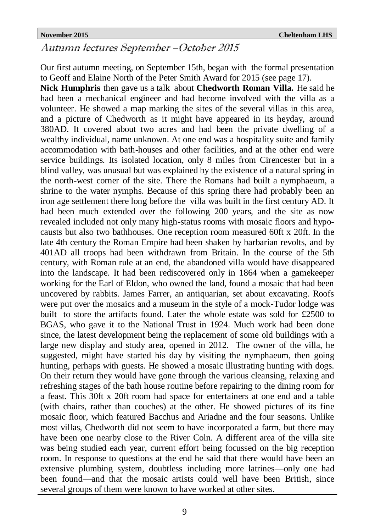### Autumn lectures September –October 2015

Our first autumn meeting, on September 15th, began with the formal presentation to Geoff and Elaine North of the Peter Smith Award for 2015 (see page 17).

**Nick Humphris** then gave us a talk about **Chedworth Roman Villa.** He said he had been a mechanical engineer and had become involved with the villa as a volunteer. He showed a map marking the sites of the several villas in this area, and a picture of Chedworth as it might have appeared in its heyday, around 380AD. It covered about two acres and had been the private dwelling of a wealthy individual, name unknown. At one end was a hospitality suite and family accommodation with bath-houses and other facilities, and at the other end were service buildings. Its isolated location, only 8 miles from Cirencester but in a blind valley, was unusual but was explained by the existence of a natural spring in the north-west corner of the site. There the Romans had built a nymphaeum, a shrine to the water nymphs. Because of this spring there had probably been an iron age settlement there long before the villa was built in the first century AD. It had been much extended over the following 200 years, and the site as now revealed included not only many high-status rooms with mosaic floors and hypocausts but also two bathhouses. One reception room measured 60ft x 20ft. In the late 4th century the Roman Empire had been shaken by barbarian revolts, and by 401AD all troops had been withdrawn from Britain. In the course of the 5th century, with Roman rule at an end, the abandoned villa would have disappeared into the landscape. It had been rediscovered only in 1864 when a gamekeeper working for the Earl of Eldon, who owned the land, found a mosaic that had been uncovered by rabbits. James Farrer, an antiquarian, set about excavating. Roofs were put over the mosaics and a museum in the style of a mock-Tudor lodge was built to store the artifacts found. Later the whole estate was sold for £2500 to BGAS, who gave it to the National Trust in 1924. Much work had been done since, the latest development being the replacement of some old buildings with a large new display and study area, opened in 2012. The owner of the villa, he suggested, might have started his day by visiting the nymphaeum, then going hunting, perhaps with guests. He showed a mosaic illustrating hunting with dogs. On their return they would have gone through the various cleansing, relaxing and refreshing stages of the bath house routine before repairing to the dining room for a feast. This 30ft x 20ft room had space for entertainers at one end and a table (with chairs, rather than couches) at the other. He showed pictures of its fine mosaic floor, which featured Bacchus and Ariadne and the four seasons. Unlike most villas, Chedworth did not seem to have incorporated a farm, but there may have been one nearby close to the River Coln. A different area of the villa site was being studied each year, current effort being focussed on the big reception room. In response to questions at the end he said that there would have been an extensive plumbing system, doubtless including more latrines—only one had been found—and that the mosaic artists could well have been British, since several groups of them were known to have worked at other sites.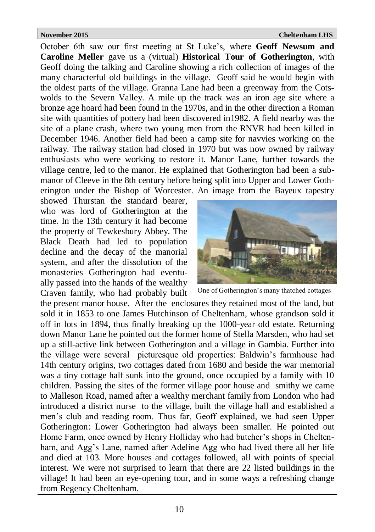October 6th saw our first meeting at St Luke's, where **Geoff Newsum and Caroline Meller** gave us a (virtual) **Historical Tour of Gotherington**, with Geoff doing the talking and Caroline showing a rich collection of images of the many characterful old buildings in the village. Geoff said he would begin with the oldest parts of the village. Granna Lane had been a greenway from the Cotswolds to the Severn Valley. A mile up the track was an iron age site where a bronze age hoard had been found in the 1970s, and in the other direction a Roman site with quantities of pottery had been discovered in1982. A field nearby was the site of a plane crash, where two young men from the RNVR had been killed in December 1946. Another field had been a camp site for navvies working on the railway. The railway station had closed in 1970 but was now owned by railway enthusiasts who were working to restore it. Manor Lane, further towards the village centre, led to the manor. He explained that Gotherington had been a submanor of Cleeve in the 8th century before being split into Upper and Lower Gotherington under the Bishop of Worcester. An image from the Bayeux tapestry

showed Thurstan the standard bearer, who was lord of Gotherington at the time. In the 13th century it had become the property of Tewkesbury Abbey. The Black Death had led to population decline and the decay of the manorial system, and after the dissolution of the monasteries Gotherington had eventually passed into the hands of the wealthy Craven family, who had probably built



One of Gotherington's many thatched cottages

the present manor house. After the enclosures they retained most of the land, but sold it in 1853 to one James Hutchinson of Cheltenham, whose grandson sold it off in lots in 1894, thus finally breaking up the 1000-year old estate. Returning down Manor Lane he pointed out the former home of Stella Marsden, who had set up a still-active link between Gotherington and a village in Gambia. Further into the village were several picturesque old properties: Baldwin's farmhouse had 14th century origins, two cottages dated from 1680 and beside the war memorial was a tiny cottage half sunk into the ground, once occupied by a family with 10 children. Passing the sites of the former village poor house and smithy we came to Malleson Road, named after a wealthy merchant family from London who had introduced a district nurse to the village, built the village hall and established a men's club and reading room. Thus far, Geoff explained, we had seen Upper Gotherington: Lower Gotherington had always been smaller. He pointed out Home Farm, once owned by Henry Holliday who had butcher's shops in Cheltenham, and Agg's Lane, named after Adeline Agg who had lived there all her life and died at 103. More houses and cottages followed, all with points of special interest. We were not surprised to learn that there are 22 listed buildings in the village! It had been an eye-opening tour, and in some ways a refreshing change from Regency Cheltenham.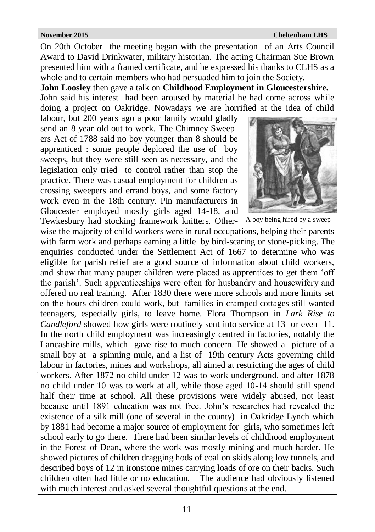On 20th October the meeting began with the presentation of an Arts Council Award to David Drinkwater, military historian. The acting Chairman Sue Brown presented him with a framed certificate, and he expressed his thanks to CLHS as a whole and to certain members who had persuaded him to join the Society.

**John Loosley** then gave a talk on **Childhood Employment in Gloucestershire.** John said his interest had been aroused by material he had come across while doing a project on Oakridge. Nowadays we are horrified at the idea of child

labour, but 200 years ago a poor family would gladly send an 8-year-old out to work. The Chimney Sweepers Act of 1788 said no boy younger than 8 should be apprenticed : some people deplored the use of boy sweeps, but they were still seen as necessary, and the legislation only tried to control rather than stop the practice. There was casual employment for children as crossing sweepers and errand boys, and some factory work even in the 18th century. Pin manufacturers in Gloucester employed mostly girls aged 14-18, and Tewkesbury had stocking framework knitters. Other-



A boy being hired by a sweep

wise the majority of child workers were in rural occupations, helping their parents with farm work and perhaps earning a little by bird-scaring or stone-picking. The enquiries conducted under the Settlement Act of 1667 to determine who was eligible for parish relief are a good source of information about child workers, and show that many pauper children were placed as apprentices to get them 'off the parish'. Such apprenticeships were often for husbandry and housewifery and offered no real training. After 1830 there were more schools and more limits set on the hours children could work, but families in cramped cottages still wanted teenagers, especially girls, to leave home. Flora Thompson in *Lark Rise to Candleford* showed how girls were routinely sent into service at 13 or even 11. In the north child employment was increasingly centred in factories, notably the Lancashire mills, which gave rise to much concern. He showed a picture of a small boy at a spinning mule, and a list of 19th century Acts governing child labour in factories, mines and workshops, all aimed at restricting the ages of child workers. After 1872 no child under 12 was to work underground, and after 1878 no child under 10 was to work at all, while those aged 10-14 should still spend half their time at school. All these provisions were widely abused, not least because until 1891 education was not free. John's researches had revealed the existence of a silk mill (one of several in the county) in Oakridge Lynch which by 1881 had become a major source of employment for girls, who sometimes left school early to go there. There had been similar levels of childhood employment in the Forest of Dean, where the work was mostly mining and much harder. He showed pictures of children dragging hods of coal on skids along low tunnels, and described boys of 12 in ironstone mines carrying loads of ore on their backs. Such children often had little or no education. The audience had obviously listened with much interest and asked several thoughtful questions at the end.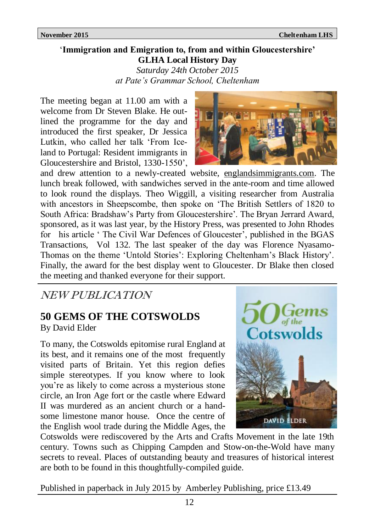### '**Immigration and Emigration to, from and within Gloucestershire' GLHA Local History Day**

*Saturday 24th October 2015 at Pate's Grammar School, Cheltenham*

The meeting began at 11.00 am with a welcome from Dr Steven Blake. He outlined the programme for the day and introduced the first speaker, Dr Jessica Lutkin, who called her talk 'From Iceland to Portugal: Resident immigrants in Gloucestershire and Bristol, 1330-1550',



and drew attention to a newly-created website, englandsimmigrants.com. The lunch break followed, with sandwiches served in the ante-room and time allowed to look round the displays. Theo Wiggill, a visiting researcher from Australia with ancestors in Sheepscombe, then spoke on 'The British Settlers of 1820 to South Africa: Bradshaw's Party from Gloucestershire'. The Bryan Jerrard Award, sponsored, as it was last year, by the History Press, was presented to John Rhodes for his article ' The Civil War Defences of Gloucester', published in the BGAS Transactions, Vol 132. The last speaker of the day was Florence Nyasamo-Thomas on the theme 'Untold Stories': Exploring Cheltenham's Black History'. Finally, the award for the best display went to Gloucester. Dr Blake then closed the meeting and thanked everyone for their support.

### NEW PUBLICATION

### **50 GEMS OF THE COTSWOLDS**

By David Elder

To many, the Cotswolds epitomise rural England at its best, and it remains one of the most frequently visited parts of Britain. Yet this region defies simple stereotypes. If you know where to look you're as likely to come across a mysterious stone circle, an Iron Age fort or the castle where Edward II was murdered as an ancient church or a handsome limestone manor house. Once the centre of the English wool trade during the Middle Ages, the



Cotswolds were rediscovered by the Arts and Crafts Movement in the late 19th century. Towns such as Chipping Campden and Stow-on-the-Wold have many secrets to reveal. Places of outstanding beauty and treasures of historical interest are both to be found in this thoughtfully-compiled guide.

Published in paperback in July 2015 by Amberley Publishing, price £13.49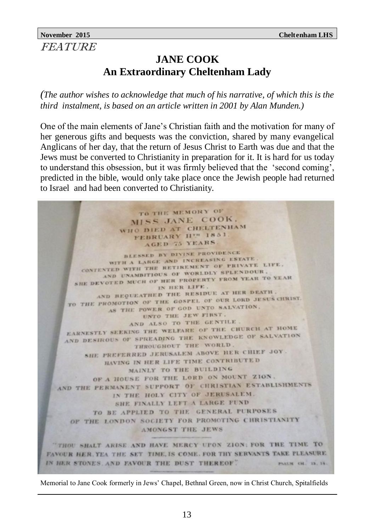### **JANE COOK An Extraordinary Cheltenham Lady**

*(The author wishes to acknowledge that much of his narrative, of which this is the third instalment, is based on an article written in 2001 by Alan Munden.)*

One of the main elements of Jane's Christian faith and the motivation for many of her generous gifts and bequests was the conviction, shared by many evangelical Anglicans of her day, that the return of Jesus Christ to Earth was due and that the Jews must be converted to Christianity in preparation for it. It is hard for us today to understand this obsession, but it was firmly believed that the 'second coming', predicted in the bible, would only take place once the Jewish people had returned to Israel and had been converted to Christianity.

TO THE MEMORY OF MISS JANE COOK. WHO DIED AT CHELTENHAM FEBRUARY HIM 1851 **AGED 75 YEARS** BLESSED BY DIVINE PROVIDENCE BLESSED BY DIVINE NE ESTATE WITH A LARGE AND INCREASED PERIVATE LIFE. AND UNAMBITIOUS OF WORLDLY SPLENDOUR. AND UNAMBITIOUS OF WORLDEY FROM YEAR TO YEAR IN HER LIFE. AND BEQUEATHED THE RESIDUE AT HER DEATH. TO THE PROMOTION OF THE GOSPEL OF OUR LORD JESUS CHRIST. AS THE POWER OF GOD UNTO SALVATION. UNTO THE JEW FIRST. AND ALSO TO THE GENTILE EARNESTLY SEEKING THE WELFARE OF THE CHURCH AT HOME AND DESIROUS OF SPREADING THE KNOWLEDGE OF SALVATION THROUGHOUT THE WORLD. SHE PREFERRED JERUSALEM ABOVE HER CHIEF JOY HAVING IN HER LIFE TIME CONTRIBUTED MAINLY TO THE BUILDING OF A HOUSE FOR THE LORD ON MOUNT ZION. AND THE PERMANENT SUPPORT OF CHRISTIAN ESTABLISHMENTS IN THE HOLY CITY OF JERUSALEM. SHE FINALLY LEFT A LARGE FUND TO BE APPLIED TO THE GENERAL PURPOSES OF THE LONDON SOCIETY FOR PROMOTING CHRISTIANITY AMONGST THE JEWS THOU SHALT ARISE AND HAVE MERCY UPON ZION: FOR THE TIME TO FAVOUR HER. YEA THE SET TIME, IS COME. FOR THY SERVANTS TAKE PLEASURE. IN HER STONES. AND FAVOUR THE DUST THEREOF. PALM CH. 13, 14.

Memorial to Jane Cook formerly in Jews' Chapel, Bethnal Green, now in Christ Church, Spitalfields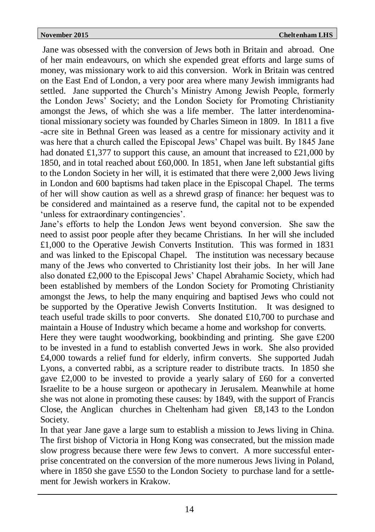Jane was obsessed with the conversion of Jews both in Britain and abroad. One of her main endeavours, on which she expended great efforts and large sums of money, was missionary work to aid this conversion. Work in Britain was centred on the East End of London, a very poor area where many Jewish immigrants had settled.Jane supported the Church's Ministry Among Jewish People, formerly the London Jews' Society; and the London Society for Promoting Christianity amongst the Jews, of which she was a life member. The latter interdenominational missionary society was founded by Charles Simeon in 1809. In 1811 a five -acre site in Bethnal Green was leased as a centre for missionary activity and it was here that a church called the Episcopal Jews' Chapel was built. By 1845 Jane had donated £1,377 to support this cause, an amount that increased to £21,000 by 1850, and in total reached about £60,000. In 1851, when Jane left substantial gifts to the London Society in her will, it is estimated that there were 2,000 Jews living in London and 600 baptisms had taken place in the Episcopal Chapel. The terms of her will show caution as well as a shrewd grasp of finance: her bequest was to be considered and maintained as a reserve fund, the capital not to be expended 'unless for extraordinary contingencies'.

Jane's efforts to help the London Jews went beyond conversion. She saw the need to assist poor people after they became Christians. In her will she included £1,000 to the Operative Jewish Converts Institution. This was formed in 1831 and was linked to the Episcopal Chapel. The institution was necessary because many of the Jews who converted to Christianity lost their jobs. In her will Jane also donated £2,000 to the Episcopal Jews' Chapel Abrahamic Society, which had been established by members of the London Society for Promoting Christianity amongst the Jews, to help the many enquiring and baptised Jews who could not be supported by the Operative Jewish Converts Institution. It was designed to teach useful trade skills to poor converts. She donated £10,700 to purchase and maintain a House of Industry which became a home and workshop for converts.

Here they were taught woodworking, bookbinding and printing. She gave £200 to be invested in a fund to establish converted Jews in work. She also provided £4,000 towards a relief fund for elderly, infirm converts. She supported Judah Lyons, a converted rabbi, as a scripture reader to distribute tracts. In 1850 she gave £2,000 to be invested to provide a yearly salary of £60 for a converted Israelite to be a house surgeon or apothecary in Jerusalem. Meanwhile at home she was not alone in promoting these causes: by 1849, with the support of Francis Close, the Anglican churches in Cheltenham had given £8,143 to the London Society.

In that year Jane gave a large sum to establish a mission to Jews living in China. The first bishop of Victoria in Hong Kong was consecrated, but the mission made slow progress because there were few Jews to convert. A more successful enterprise concentrated on the conversion of the more numerous Jews living in Poland, where in 1850 she gave £550 to the London Society to purchase land for a settlement for Jewish workers in Krakow.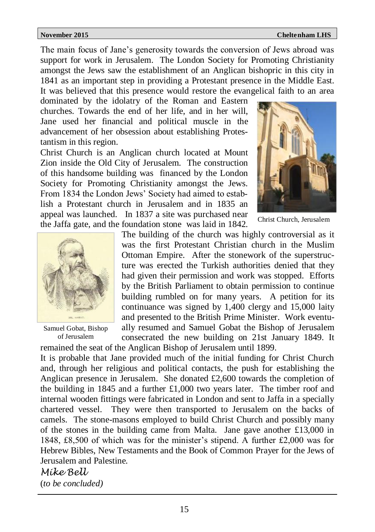The main focus of Jane's generosity towards the conversion of Jews abroad was support for work in Jerusalem. The London Society for Promoting Christianity amongst the Jews saw the establishment of an Anglican bishopric in this city in 1841 as an important step in providing a Protestant presence in the Middle East. It was believed that this presence would restore the evangelical faith to an area

dominated by the idolatry of the Roman and Eastern churches. Towards the end of her life, and in her will, Jane used her financial and political muscle in the advancement of her obsession about establishing Protestantism in this region.

Christ Church is an Anglican church located at Mount Zion inside the Old City of Jerusalem. The construction of this handsome building was financed by the London Society for Promoting Christianity amongst the Jews. From 1834 the London Jews' Society had aimed to establish a Protestant church in Jerusalem and in 1835 an appeal was launched. In 1837 a site was purchased near the Jaffa gate, and the foundation stone was laid in 1842.



Christ Church, Jerusalem



Samuel Gobat, Bishop of Jerusalem

The building of the church was highly controversial as it was the first Protestant Christian church in the Muslim Ottoman Empire. After the stonework of the superstructure was erected the Turkish authorities denied that they had given their permission and work was stopped. Efforts by the British Parliament to obtain permission to continue building rumbled on for many years. A petition for its continuance was signed by 1,400 clergy and 15,000 laity and presented to the British Prime Minister. Work eventually resumed and Samuel Gobat the Bishop of Jerusalem consecrated the new building on 21st January 1849. It

remained the seat of the Anglican Bishop of Jerusalem until 1899. It is probable that Jane provided much of the initial funding for Christ Church and, through her religious and political contacts, the push for establishing the Anglican presence in Jerusalem. She donated £2,600 towards the completion of the building in 1845 and a further £1,000 two years later. The timber roof and internal wooden fittings were fabricated in London and sent to Jaffa in a specially chartered vessel. They were then transported to Jerusalem on the backs of camels. The stone-masons employed to build Christ Church and possibly many of the stones in the building came from Malta. Jane gave another £13,000 in 1848, £8,500 of which was for the minister's stipend. A further £2,000 was for Hebrew Bibles, New Testaments and the Book of Common Prayer for the Jews of Jerusalem and Palestine.

*Mike Bell* (*to be concluded)*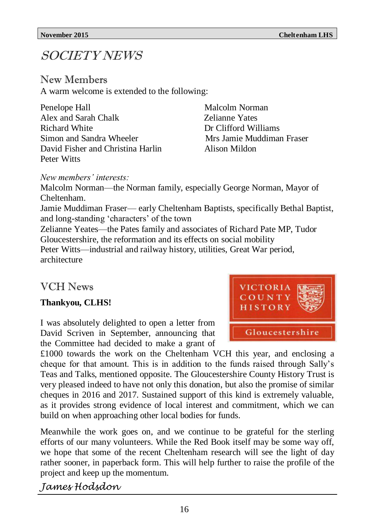# SOCIETY NEWS

### New Members

A warm welcome is extended to the following:

| Penelope Hall                     |
|-----------------------------------|
| Alex and Sarah Chalk              |
| Richard White                     |
| Simon and Sandra Wheeler          |
| David Fisher and Christina Harlin |
| Peter Witts                       |

Malcolm Norman **Zelianne Yates** Dr Clifford Williams Mrs Jamie Muddiman Fraser Alison Mildon

*New members' interests:*

Malcolm Norman—the Norman family, especially George Norman, Mayor of Cheltenham.

Jamie Muddiman Fraser— early Cheltenham Baptists, specifically Bethal Baptist, and long-standing 'characters' of the town

Zelianne Yeates—the Pates family and associates of Richard Pate MP, Tudor Gloucestershire, the reformation and its effects on social mobility Peter Witts—industrial and railway history, utilities, Great War period, architecture

### VCH News

### **Thankyou, CLHS!**

I was absolutely delighted to open a letter from David Scriven in September, announcing that the Committee had decided to make a grant of

CTORIA Gloucestershire

£1000 towards the work on the Cheltenham VCH this year, and enclosing a cheque for that amount. This is in addition to the funds raised through Sally's Teas and Talks, mentioned opposite. The Gloucestershire County History Trust is very pleased indeed to have not only this donation, but also the promise of similar cheques in 2016 and 2017. Sustained support of this kind is extremely valuable, as it provides strong evidence of local interest and commitment, which we can build on when approaching other local bodies for funds.

Meanwhile the work goes on, and we continue to be grateful for the sterling efforts of our many volunteers. While the Red Book itself may be some way off, we hope that some of the recent Cheltenham research will see the light of day rather sooner, in paperback form. This will help further to raise the profile of the project and keep up the momentum.

*James Hodsdon*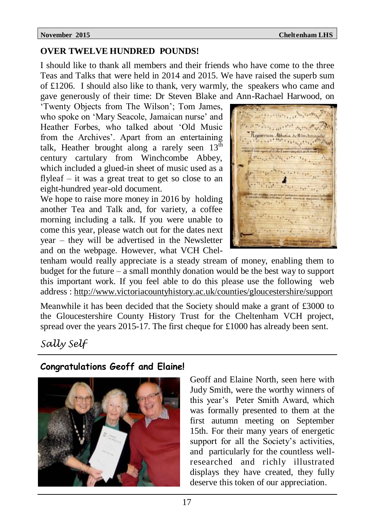### **OVER TWELVE HUNDRED POUNDS!**

I should like to thank all members and their friends who have come to the three Teas and Talks that were held in 2014 and 2015. We have raised the superb sum of £1206. I should also like to thank, very warmly, the speakers who came and gave generously of their time: Dr Steven Blake and Ann-Rachael Harwood, on

'Twenty Objects from The Wilson'; Tom James, who spoke on 'Mary Seacole, Jamaican nurse' and Heather Forbes, who talked about 'Old Music from the Archives'. Apart from an entertaining talk, Heather brought along a rarely seen 13<sup>th</sup> century cartulary from Winchcombe Abbey, which included a glued-in sheet of music used as a flyleaf – it was a great treat to get so close to an eight-hundred year-old document.

We hope to raise more money in 2016 by holding another Tea and Talk and, for variety, a coffee morning including a talk. If you were unable to come this year, please watch out for the dates next year – they will be advertised in the Newsletter and on the webpage. However, what VCH Chel-

Registrum Abbatia Sellinch

tenham would really appreciate is a steady stream of money, enabling them to budget for the future – a small monthly donation would be the best way to support this important work. If you feel able to do this please use the following web address : <http://www.victoriacountyhistory.ac.uk/counties/gloucestershire/support>

Meanwhile it has been decided that the Society should make a grant of £3000 to the Gloucestershire County History Trust for the Cheltenham VCH project, spread over the years 2015-17. The first cheque for £1000 has already been sent.

### *Sally Self*

### **Congratulations Geoff and Elaine!**



Geoff and Elaine North, seen here with Judy Smith, were the worthy winners of this year's Peter Smith Award, which was formally presented to them at the first autumn meeting on September 15th. For their many years of energetic support for all the Society's activities, and particularly for the countless wellresearched and richly illustrated displays they have created, they fully deserve this token of our appreciation.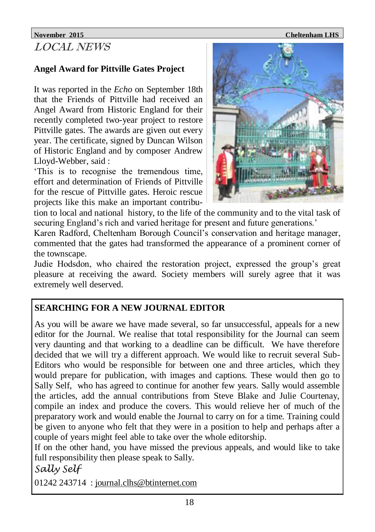### **November 2015 Cheltenham LHS** LOCAL NEWS

### **Angel Award for Pittville Gates Project**

It was reported in the *Echo* on September 18th that the Friends of Pittville had received an Angel Award from Historic England for their recently completed two-year project to restore Pittville gates. The awards are given out every year. The certificate, signed by Duncan Wilson of Historic England and by composer Andrew Lloyd-Webber, said :

'This is to recognise the tremendous time, effort and determination of Friends of Pittville for the rescue of Pittville gates. Heroic rescue projects like this make an important contribu-



tion to local and national history, to the life of the community and to the vital task of securing England's rich and varied heritage for present and future generations.'

Karen Radford, Cheltenham Borough Council's conservation and heritage manager, commented that the gates had transformed the appearance of a prominent corner of the townscape.

Judie Hodsdon, who chaired the restoration project, expressed the group's great pleasure at receiving the award. Society members will surely agree that it was extremely well deserved.

### **SEARCHING FOR A NEW JOURNAL EDITOR**

As you will be aware we have made several, so far unsuccessful, appeals for a new editor for the Journal. We realise that total responsibility for the Journal can seem very daunting and that working to a deadline can be difficult. We have therefore decided that we will try a different approach. We would like to recruit several Sub-Editors who would be responsible for between one and three articles, which they would prepare for publication, with images and captions. These would then go to Sally Self, who has agreed to continue for another few years. Sally would assemble the articles, add the annual contributions from Steve Blake and Julie Courtenay, compile an index and produce the covers. This would relieve her of much of the preparatory work and would enable the Journal to carry on for a time. Training could be given to anyone who felt that they were in a position to help and perhaps after a couple of years might feel able to take over the whole editorship.

If on the other hand, you have missed the previous appeals, and would like to take full responsibility then please speak to Sally.

*Sally Self* 

01242 243714 : [journal.clhs@btinternet.com](mailto:journal.clhs@btinternet.com)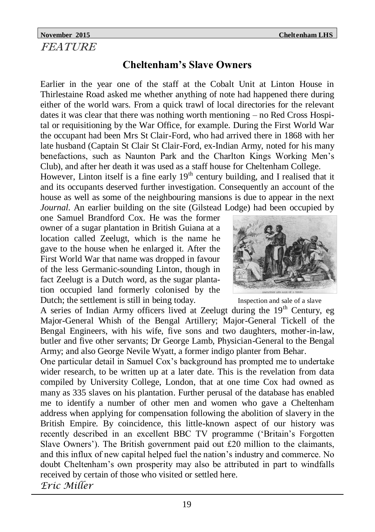### **November 2015 Cheltenham LHS FEATURE**

## **Cheltenham's Slave Owners**

Earlier in the year one of the staff at the Cobalt Unit at Linton House in Thirlestaine Road asked me whether anything of note had happened there during either of the world wars. From a quick trawl of local directories for the relevant dates it was clear that there was nothing worth mentioning – no Red Cross Hospital or requisitioning by the War Office, for example. During the First World War the occupant had been Mrs St Clair-Ford, who had arrived there in 1868 with her late husband (Captain St Clair St Clair-Ford, ex-Indian Army, noted for his many benefactions, such as Naunton Park and the Charlton Kings Working Men's Club), and after her death it was used as a staff house for Cheltenham College.

However, Linton itself is a fine early  $19<sup>th</sup>$  century building, and I realised that it and its occupants deserved further investigation. Consequently an account of the house as well as some of the neighbouring mansions is due to appear in the next *Journal*. An earlier building on the site (Gilstead Lodge) had been occupied by

one Samuel Brandford Cox. He was the former owner of a sugar plantation in British Guiana at a location called Zeelugt, which is the name he gave to the house when he enlarged it. After the First World War that name was dropped in favour of the less Germanic-sounding Linton, though in fact Zeelugt is a Dutch word, as the sugar plantation occupied land formerly colonised by the Dutch; the settlement is still in being today.

A series of Indian Army officers lived at Zeelugt during the  $19<sup>th</sup>$  Century, eg Major-General Whish of the Bengal Artillery; Major-General Tickell of the Bengal Engineers, with his wife, five sons and two daughters, mother-in-law, butler and five other servants; Dr George Lamb, Physician-General to the Bengal Army; and also George Nevile Wyatt, a former indigo planter from Behar.

One particular detail in Samuel Cox's background has prompted me to undertake wider research, to be written up at a later date. This is the revelation from data compiled by University College, London, that at one time Cox had owned as many as 335 slaves on his plantation. Further perusal of the database has enabled me to identify a number of other men and women who gave a Cheltenham address when applying for compensation following the abolition of slavery in the British Empire. By coincidence, this little-known aspect of our history was recently described in an excellent BBC TV programme ('Britain's Forgotten Slave Owners'). The British government paid out £20 million to the claimants, and this influx of new capital helped fuel the nation's industry and commerce. No doubt Cheltenham's own prosperity may also be attributed in part to windfalls received by certain of those who visited or settled here. *Eric Miller*



Inspection and sale of a slave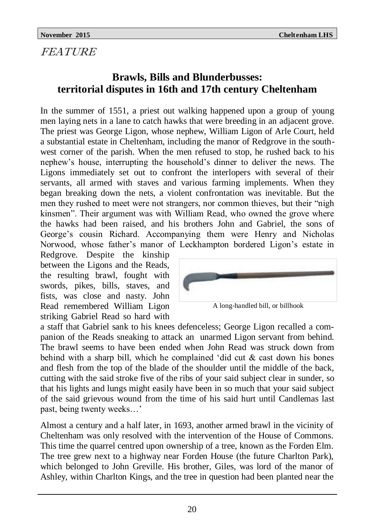### FEATURE

## **Brawls, Bills and Blunderbusses: territorial disputes in 16th and 17th century Cheltenham**

In the summer of 1551, a priest out walking happened upon a group of young men laying nets in a lane to catch hawks that were breeding in an adjacent grove. The priest was George Ligon, whose nephew, William Ligon of Arle Court, held a substantial estate in Cheltenham, including the manor of Redgrove in the southwest corner of the parish. When the men refused to stop, he rushed back to his nephew's house, interrupting the household's dinner to deliver the news. The Ligons immediately set out to confront the interlopers with several of their servants, all armed with staves and various farming implements. When they began breaking down the nets, a violent confrontation was inevitable. But the men they rushed to meet were not strangers, nor common thieves, but their "nigh kinsmen". Their argument was with William Read, who owned the grove where the hawks had been raised, and his brothers John and Gabriel, the sons of George's cousin Richard. Accompanying them were Henry and Nicholas Norwood, whose father's manor of Leckhampton bordered Ligon's estate in

Redgrove. Despite the kinship between the Ligons and the Reads, the resulting brawl, fought with swords, pikes, bills, staves, and fists, was close and nasty. John Read remembered William Ligon striking Gabriel Read so hard with



A long-handled bill, or billhook

a staff that Gabriel sank to his knees defenceless; George Ligon recalled a companion of the Reads sneaking to attack an unarmed Ligon servant from behind. The brawl seems to have been ended when John Read was struck down from behind with a sharp bill, which he complained 'did cut  $\&$  cast down his bones and flesh from the top of the blade of the shoulder until the middle of the back, cutting with the said stroke five of the ribs of your said subject clear in sunder, so that his lights and lungs might easily have been in so much that your said subject of the said grievous wound from the time of his said hurt until Candlemas last past, being twenty weeks…'

Almost a century and a half later, in 1693, another armed brawl in the vicinity of Cheltenham was only resolved with the intervention of the House of Commons. This time the quarrel centred upon ownership of a tree, known as the Forden Elm. The tree grew next to a highway near Forden House (the future Charlton Park), which belonged to John Greville. His brother, Giles, was lord of the manor of Ashley, within Charlton Kings, and the tree in question had been planted near the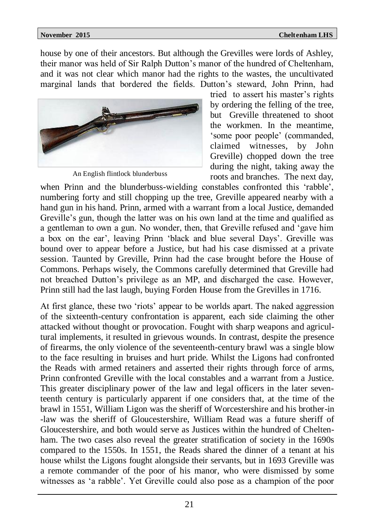house by one of their ancestors. But although the Grevilles were lords of Ashley, their manor was held of Sir Ralph Dutton's manor of the hundred of Cheltenham, and it was not clear which manor had the rights to the wastes, the uncultivated marginal lands that bordered the fields. Dutton's steward, John Prinn, had



An English flintlock blunderbuss

tried to assert his master's rights by ordering the felling of the tree, but Greville threatened to shoot the workmen. In the meantime, 'some poor people' (commanded, claimed witnesses, by John Greville) chopped down the tree during the night, taking away the roots and branches. The next day,

when Prinn and the blunderbuss-wielding constables confronted this 'rabble', numbering forty and still chopping up the tree, Greville appeared nearby with a hand gun in his hand. Prinn, armed with a warrant from a local Justice, demanded Greville's gun, though the latter was on his own land at the time and qualified as a gentleman to own a gun. No wonder, then, that Greville refused and 'gave him a box on the ear', leaving Prinn 'black and blue several Days'. Greville was bound over to appear before a Justice, but had his case dismissed at a private session. Taunted by Greville, Prinn had the case brought before the House of Commons. Perhaps wisely, the Commons carefully determined that Greville had not breached Dutton's privilege as an MP, and discharged the case. However, Prinn still had the last laugh, buying Forden House from the Grevilles in 1716.

At first glance, these two 'riots' appear to be worlds apart. The naked aggression of the sixteenth-century confrontation is apparent, each side claiming the other attacked without thought or provocation. Fought with sharp weapons and agricultural implements, it resulted in grievous wounds. In contrast, despite the presence of firearms, the only violence of the seventeenth-century brawl was a single blow to the face resulting in bruises and hurt pride. Whilst the Ligons had confronted the Reads with armed retainers and asserted their rights through force of arms, Prinn confronted Greville with the local constables and a warrant from a Justice. This greater disciplinary power of the law and legal officers in the later seventeenth century is particularly apparent if one considers that, at the time of the brawl in 1551, William Ligon was the sheriff of Worcestershire and his brother-in -law was the sheriff of Gloucestershire, William Read was a future sheriff of Gloucestershire, and both would serve as Justices within the hundred of Cheltenham. The two cases also reveal the greater stratification of society in the 1690s compared to the 1550s. In 1551, the Reads shared the dinner of a tenant at his house whilst the Ligons fought alongside their servants, but in 1693 Greville was a remote commander of the poor of his manor, who were dismissed by some witnesses as 'a rabble'. Yet Greville could also pose as a champion of the poor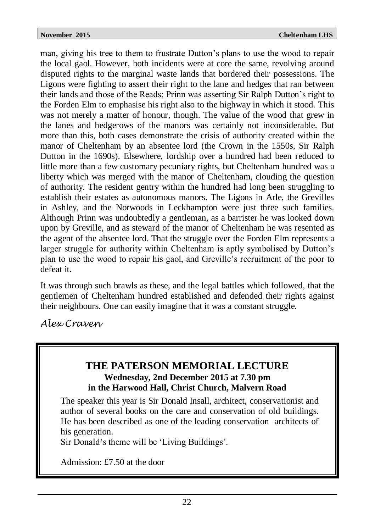man, giving his tree to them to frustrate Dutton's plans to use the wood to repair the local gaol. However, both incidents were at core the same, revolving around disputed rights to the marginal waste lands that bordered their possessions. The Ligons were fighting to assert their right to the lane and hedges that ran between their lands and those of the Reads; Prinn was asserting Sir Ralph Dutton's right to the Forden Elm to emphasise his right also to the highway in which it stood. This was not merely a matter of honour, though. The value of the wood that grew in the lanes and hedgerows of the manors was certainly not inconsiderable. But more than this, both cases demonstrate the crisis of authority created within the manor of Cheltenham by an absentee lord (the Crown in the 1550s, Sir Ralph Dutton in the 1690s). Elsewhere, lordship over a hundred had been reduced to little more than a few customary pecuniary rights, but Cheltenham hundred was a liberty which was merged with the manor of Cheltenham, clouding the question of authority. The resident gentry within the hundred had long been struggling to establish their estates as autonomous manors. The Ligons in Arle, the Grevilles in Ashley, and the Norwoods in Leckhampton were just three such families. Although Prinn was undoubtedly a gentleman, as a barrister he was looked down upon by Greville, and as steward of the manor of Cheltenham he was resented as the agent of the absentee lord. That the struggle over the Forden Elm represents a larger struggle for authority within Cheltenham is aptly symbolised by Dutton's plan to use the wood to repair his gaol, and Greville's recruitment of the poor to defeat it.

It was through such brawls as these, and the legal battles which followed, that the gentlemen of Cheltenham hundred established and defended their rights against their neighbours. One can easily imagine that it was a constant struggle.

*Alex Craven*

### **THE PATERSON MEMORIAL LECTURE Wednesday, 2nd December 2015 at 7.30 pm in the Harwood Hall, Christ Church, Malvern Road**

The speaker this year is Sir Donald Insall, architect, conservationist and author of several books on the care and conservation of old buildings. He has been described as one of the leading conservation architects of his generation.

Sir Donald's theme will be 'Living Buildings'.

Admission: £7.50 at the door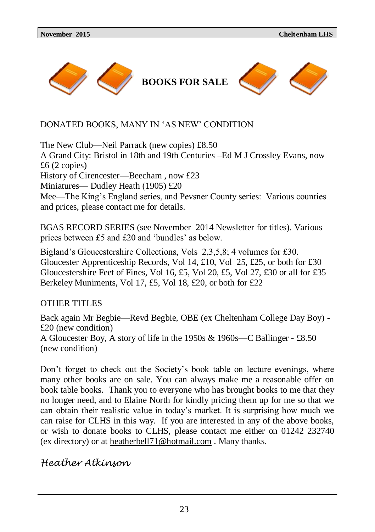

### DONATED BOOKS, MANY IN 'AS NEW' CONDITION

The New Club—Neil Parrack (new copies) £8.50 A Grand City: Bristol in 18th and 19th Centuries –Ed M J Crossley Evans, now £6 (2 copies) History of Cirencester—Beecham , now £23 Miniatures— Dudley Heath (1905) £20 Mee—The King's England series, and Pevsner County series: Various counties and prices, please contact me for details.

BGAS RECORD SERIES (see November 2014 Newsletter for titles). Various prices between £5 and £20 and 'bundles' as below.

Bigland's Gloucestershire Collections, Vols 2,3,5,8; 4 volumes for £30. Gloucester Apprenticeship Records, Vol 14, £10, Vol 25, £25, or both for £30 Gloucestershire Feet of Fines, Vol 16, £5, Vol 20, £5, Vol 27, £30 or all for £35 Berkeley Muniments, Vol 17, £5, Vol 18, £20, or both for £22

OTHER TITLES

Back again Mr Begbie—Revd Begbie, OBE (ex Cheltenham College Day Boy) - £20 (new condition) A Gloucester Boy, A story of life in the 1950s & 1960s—C Ballinger - £8.50 (new condition)

Don't forget to check out the Society's book table on lecture evenings, where many other books are on sale. You can always make me a reasonable offer on book table books. Thank you to everyone who has brought books to me that they no longer need, and to Elaine North for kindly pricing them up for me so that we can obtain their realistic value in today's market. It is surprising how much we can raise for CLHS in this way. If you are interested in any of the above books, or wish to donate books to CLHS, please contact me either on 01242 232740 (ex directory) or at [heatherbell71@hotmail.com](mailto:heatherbell71@hotmail.com) . Many thanks.

### *Heather Atkinson*